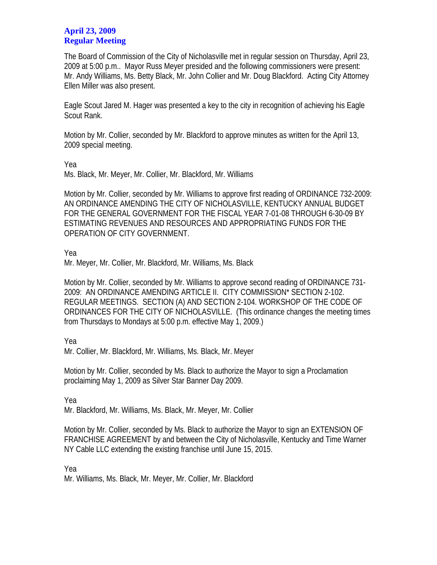## **April 23, 2009 Regular Meeting**

The Board of Commission of the City of Nicholasville met in regular session on Thursday, April 23, 2009 at 5:00 p.m.. Mayor Russ Meyer presided and the following commissioners were present: Mr. Andy Williams, Ms. Betty Black, Mr. John Collier and Mr. Doug Blackford. Acting City Attorney Ellen Miller was also present.

Eagle Scout Jared M. Hager was presented a key to the city in recognition of achieving his Eagle Scout Rank.

Motion by Mr. Collier, seconded by Mr. Blackford to approve minutes as written for the April 13, 2009 special meeting.

Yea

Ms. Black, Mr. Meyer, Mr. Collier, Mr. Blackford, Mr. Williams

Motion by Mr. Collier, seconded by Mr. Williams to approve first reading of ORDINANCE 732-2009: AN ORDINANCE AMENDING THE CITY OF NICHOLASVILLE, KENTUCKY ANNUAL BUDGET FOR THE GENERAL GOVERNMENT FOR THE FISCAL YEAR 7-01-08 THROUGH 6-30-09 BY ESTIMATING REVENUES AND RESOURCES AND APPROPRIATING FUNDS FOR THE OPERATION OF CITY GOVERNMENT.

Yea

Mr. Meyer, Mr. Collier, Mr. Blackford, Mr. Williams, Ms. Black

Motion by Mr. Collier, seconded by Mr. Williams to approve second reading of ORDINANCE 731- 2009: AN ORDINANCE AMENDING ARTICLE II. CITY COMMISSION\* SECTION 2-102. REGULAR MEETINGS. SECTION (A) AND SECTION 2-104. WORKSHOP OF THE CODE OF ORDINANCES FOR THE CITY OF NICHOLASVILLE. (This ordinance changes the meeting times from Thursdays to Mondays at 5:00 p.m. effective May 1, 2009.)

Yea

Mr. Collier, Mr. Blackford, Mr. Williams, Ms. Black, Mr. Meyer

Motion by Mr. Collier, seconded by Ms. Black to authorize the Mayor to sign a Proclamation proclaiming May 1, 2009 as Silver Star Banner Day 2009.

Yea

Mr. Blackford, Mr. Williams, Ms. Black, Mr. Meyer, Mr. Collier

Motion by Mr. Collier, seconded by Ms. Black to authorize the Mayor to sign an EXTENSION OF FRANCHISE AGREEMENT by and between the City of Nicholasville, Kentucky and Time Warner NY Cable LLC extending the existing franchise until June 15, 2015.

Yea

Mr. Williams, Ms. Black, Mr. Meyer, Mr. Collier, Mr. Blackford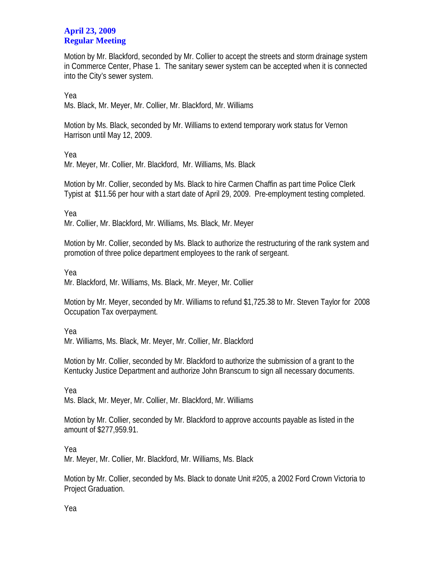## **April 23, 2009 Regular Meeting**

Motion by Mr. Blackford, seconded by Mr. Collier to accept the streets and storm drainage system in Commerce Center, Phase 1. The sanitary sewer system can be accepted when it is connected into the City's sewer system.

Yea

Ms. Black, Mr. Meyer, Mr. Collier, Mr. Blackford, Mr. Williams

Motion by Ms. Black, seconded by Mr. Williams to extend temporary work status for Vernon Harrison until May 12, 2009.

Yea

Mr. Meyer, Mr. Collier, Mr. Blackford, Mr. Williams, Ms. Black

Motion by Mr. Collier, seconded by Ms. Black to hire Carmen Chaffin as part time Police Clerk Typist at \$11.56 per hour with a start date of April 29, 2009. Pre-employment testing completed.

Yea

Mr. Collier, Mr. Blackford, Mr. Williams, Ms. Black, Mr. Meyer

Motion by Mr. Collier, seconded by Ms. Black to authorize the restructuring of the rank system and promotion of three police department employees to the rank of sergeant.

Yea

Mr. Blackford, Mr. Williams, Ms. Black, Mr. Meyer, Mr. Collier

Motion by Mr. Meyer, seconded by Mr. Williams to refund \$1,725.38 to Mr. Steven Taylor for 2008 Occupation Tax overpayment.

Yea

Mr. Williams, Ms. Black, Mr. Meyer, Mr. Collier, Mr. Blackford

Motion by Mr. Collier, seconded by Mr. Blackford to authorize the submission of a grant to the Kentucky Justice Department and authorize John Branscum to sign all necessary documents.

Yea Ms. Black, Mr. Meyer, Mr. Collier, Mr. Blackford, Mr. Williams

Motion by Mr. Collier, seconded by Mr. Blackford to approve accounts payable as listed in the amount of \$277,959.91.

Yea

Mr. Meyer, Mr. Collier, Mr. Blackford, Mr. Williams, Ms. Black

Motion by Mr. Collier, seconded by Ms. Black to donate Unit #205, a 2002 Ford Crown Victoria to Project Graduation.

Yea